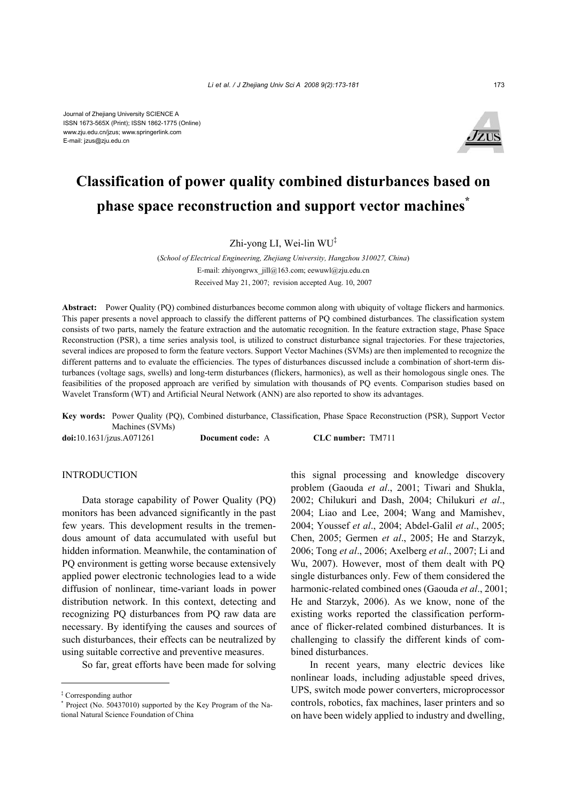

# **Classification of power quality combined disturbances based on phase space reconstruction and support vector machines\***

Zhi-yong LI, Wei-lin WU‡

(*School of Electrical Engineering, Zhejiang University, Hangzhou 310027, China*) E-mail: zhiyongrwx\_jill@163.com; eewuwl@zju.edu.cn Received May 21, 2007; revision accepted Aug. 10, 2007

**Abstract:** Power Quality (PQ) combined disturbances become common along with ubiquity of voltage flickers and harmonics. This paper presents a novel approach to classify the different patterns of PQ combined disturbances. The classification system consists of two parts, namely the feature extraction and the automatic recognition. In the feature extraction stage, Phase Space Reconstruction (PSR), a time series analysis tool, is utilized to construct disturbance signal trajectories. For these trajectories, several indices are proposed to form the feature vectors. Support Vector Machines (SVMs) are then implemented to recognize the different patterns and to evaluate the efficiencies. The types of disturbances discussed include a combination of short-term disturbances (voltage sags, swells) and long-term disturbances (flickers, harmonics), as well as their homologous single ones. The feasibilities of the proposed approach are verified by simulation with thousands of PQ events. Comparison studies based on Wavelet Transform (WT) and Artificial Neural Network (ANN) are also reported to show its advantages.

**Key words:** Power Quality (PQ), Combined disturbance, Classification, Phase Space Reconstruction (PSR), Support Vector Machines (SVMs)

**doi:**10.1631/jzus.A071261 **Document code:** A **CLC number:** TM711

# **INTRODUCTION**

Data storage capability of Power Quality (PQ) monitors has been advanced significantly in the past few years. This development results in the tremendous amount of data accumulated with useful but hidden information. Meanwhile, the contamination of PQ environment is getting worse because extensively applied power electronic technologies lead to a wide diffusion of nonlinear, time-variant loads in power distribution network. In this context, detecting and recognizing PQ disturbances from PQ raw data are necessary. By identifying the causes and sources of such disturbances, their effects can be neutralized by using suitable corrective and preventive measures.

So far, great efforts have been made for solving

this signal processing and knowledge discovery problem (Gaouda *et al*., 2001; Tiwari and Shukla, 2002; Chilukuri and Dash, 2004; Chilukuri *et al*., 2004; Liao and Lee, 2004; Wang and Mamishev, 2004; Youssef *et al*., 2004; Abdel-Galil *et al*., 2005; Chen, 2005; Germen *et al*., 2005; He and Starzyk, 2006; Tong *et al*., 2006; Axelberg *et al*., 2007; Li and Wu, 2007). However, most of them dealt with PQ single disturbances only. Few of them considered the harmonic-related combined ones (Gaouda *et al*., 2001; He and Starzyk, 2006). As we know, none of the existing works reported the classification performance of flicker-related combined disturbances. It is challenging to classify the different kinds of combined disturbances.

In recent years, many electric devices like nonlinear loads, including adjustable speed drives, UPS, switch mode power converters, microprocessor controls, robotics, fax machines, laser printers and so on have been widely applied to industry and dwelling,

<sup>‡</sup> Corresponding author

<sup>\*</sup> Project (No. 50437010) supported by the Key Program of the National Natural Science Foundation of China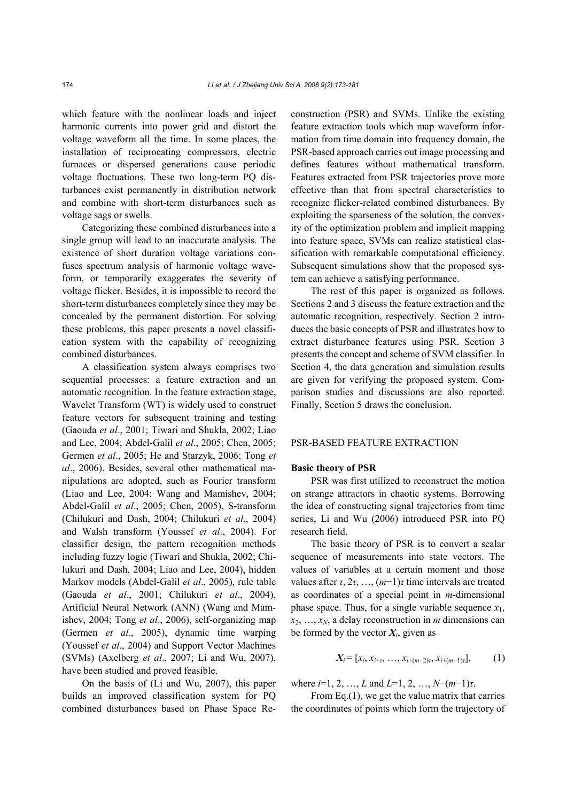which feature with the nonlinear loads and inject harmonic currents into power grid and distort the voltage waveform all the time. In some places, the installation of reciprocating compressors, electric furnaces or dispersed generations cause periodic voltage fluctuations. These two long-term PQ disturbances exist permanently in distribution network and combine with short-term disturbances such as voltage sags or swells.

Categorizing these combined disturbances into a single group will lead to an inaccurate analysis. The existence of short duration voltage variations confuses spectrum analysis of harmonic voltage waveform, or temporarily exaggerates the severity of voltage flicker. Besides, it is impossible to record the short-term disturbances completely since they may be concealed by the permanent distortion. For solving these problems, this paper presents a novel classification system with the capability of recognizing combined disturbances.

A classification system always comprises two sequential processes: a feature extraction and an automatic recognition. In the feature extraction stage, Wavelet Transform (WT) is widely used to construct feature vectors for subsequent training and testing (Gaouda *et al*., 2001; Tiwari and Shukla, 2002; Liao and Lee, 2004; Abdel-Galil *et al*., 2005; Chen, 2005; Germen *et al*., 2005; He and Starzyk, 2006; Tong *et al*., 2006). Besides, several other mathematical manipulations are adopted, such as Fourier transform (Liao and Lee, 2004; Wang and Mamishev, 2004; Abdel-Galil *et al*., 2005; Chen, 2005), S-transform (Chilukuri and Dash, 2004; Chilukuri *et al*., 2004) and Walsh transform (Youssef *et al*., 2004). For classifier design, the pattern recognition methods including fuzzy logic (Tiwari and Shukla, 2002; Chilukuri and Dash, 2004; Liao and Lee, 2004), hidden Markov models (Abdel-Galil *et al*., 2005), rule table (Gaouda *et al*., 2001; Chilukuri *et al*., 2004), Artificial Neural Network (ANN) (Wang and Mamishev, 2004; Tong *et al*., 2006), self-organizing map (Germen *et al*., 2005), dynamic time warping (Youssef *et al*., 2004) and Support Vector Machines (SVMs) (Axelberg *et al*., 2007; Li and Wu, 2007), have been studied and proved feasible.

On the basis of (Li and Wu, 2007), this paper builds an improved classification system for PQ combined disturbances based on Phase Space Reconstruction (PSR) and SVMs. Unlike the existing feature extraction tools which map waveform information from time domain into frequency domain, the PSR-based approach carries out image processing and defines features without mathematical transform. Features extracted from PSR trajectories prove more effective than that from spectral characteristics to recognize flicker-related combined disturbances. By exploiting the sparseness of the solution, the convexity of the optimization problem and implicit mapping into feature space, SVMs can realize statistical classification with remarkable computational efficiency. Subsequent simulations show that the proposed system can achieve a satisfying performance.

The rest of this paper is organized as follows. Sections 2 and 3 discuss the feature extraction and the automatic recognition, respectively. Section 2 introduces the basic concepts of PSR and illustrates how to extract disturbance features using PSR. Section 3 presents the concept and scheme of SVM classifier. In Section 4, the data generation and simulation results are given for verifying the proposed system. Comparison studies and discussions are also reported. Finally, Section 5 draws the conclusion.

#### PSR-BASED FEATURE EXTRACTION

#### **Basic theory of PSR**

PSR was first utilized to reconstruct the motion on strange attractors in chaotic systems. Borrowing the idea of constructing signal trajectories from time series, Li and Wu (2006) introduced PSR into PQ research field.

The basic theory of PSR is to convert a scalar sequence of measurements into state vectors. The values of variables at a certain moment and those values after  $\tau$ ,  $2\tau$ , ...,  $(m-1)\tau$  time intervals are treated as coordinates of a special point in *m*-dimensional phase space. Thus, for a single variable sequence  $x_1$ ,  $x_2, \ldots, x_N$ , a delay reconstruction in *m* dimensions can be formed by the vector  $X_i$ , given as

$$
X_i = [x_i, x_{i+\tau}, \dots, x_{i+(m-2)\tau}, x_{i+(m-1)\tau}], \qquad (1)
$$

where *i*=1, 2, …, *L* and *L*=1, 2, …, *N*−(*m*−1)*τ*.

From Eq.(1), we get the value matrix that carries the coordinates of points which form the trajectory of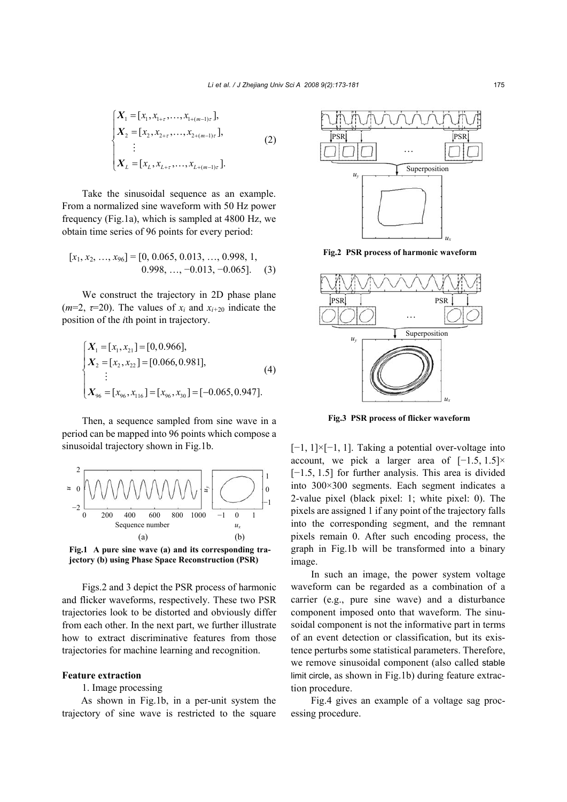$$
\begin{cases}\nX_1 = [x_1, x_{1+r}, \dots, x_{1+(m-1)r}], \\
X_2 = [x_2, x_{2+r}, \dots, x_{2+(m-1)r}], \\
\vdots \\
X_L = [x_L, x_{L+r}, \dots, x_{L+(m-1)r}].\n\end{cases}
$$
\n(2)

Take the sinusoidal sequence as an example. From a normalized sine waveform with 50 Hz power frequency (Fig.1a), which is sampled at 4800 Hz, we obtain time series of 96 points for every period:

$$
[x_1, x_2, ..., x_{96}] = [0, 0.065, 0.013, ..., 0.998, 1, 0.998, ..., -0.013, -0.065]. \quad (3)
$$

We construct the trajectory in 2D phase plane  $(m=2, \tau=20)$ . The values of  $x_i$  and  $x_{i+20}$  indicate the position of the *i*th point in trajectory.

$$
\begin{cases}\nX_1 = [x_1, x_{21}] = [0, 0.966], \\
X_2 = [x_2, x_{22}] = [0.066, 0.981], \\
\vdots \\
X_{96} = [x_{96}, x_{116}] = [x_{96}, x_{30}] = [-0.065, 0.947].\n\end{cases}
$$
\n(4)

Then, a sequence sampled from sine wave in a period can be mapped into 96 points which compose a sinusoidal trajectory shown in Fig.1b.



**jectory (b) using Phase Space Reconstruction (PSR)** 

Figs.2 and 3 depict the PSR process of harmonic and flicker waveforms, respectively. These two PSR trajectories look to be distorted and obviously differ from each other. In the next part, we further illustrate how to extract discriminative features from those trajectories for machine learning and recognition.

## **Feature extraction**

#### 1. Image processing

As shown in Fig.1b, in a per-unit system the trajectory of sine wave is restricted to the square



**Fig.2 PSR process of harmonic waveform** 



**Fig.3 PSR process of flicker waveform** 

[−1, 1]×[−1, 1]. Taking a potential over-voltage into account, we pick a larger area of [−1.5, 1.5]× [−1.5, 1.5] for further analysis. This area is divided into 300×300 segments. Each segment indicates a 2-value pixel (black pixel: 1; white pixel: 0). The pixels are assigned 1 if any point of the trajectory falls into the corresponding segment, and the remnant pixels remain 0. After such encoding process, the graph in Fig.1b will be transformed into a binary image.

In such an image, the power system voltage waveform can be regarded as a combination of a carrier (e.g., pure sine wave) and a disturbance component imposed onto that waveform. The sinusoidal component is not the informative part in terms of an event detection or classification, but its existence perturbs some statistical parameters. Therefore, we remove sinusoidal component (also called stable limit circle, as shown in Fig.1b) during feature extraction procedure.

Fig.4 gives an example of a voltage sag processing procedure.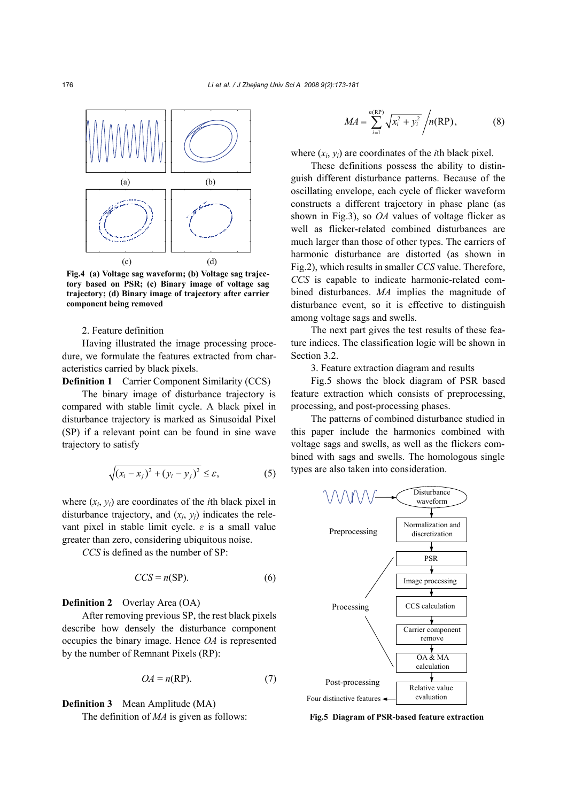

**Fig.4 (a) Voltage sag waveform; (b) Voltage sag trajectory based on PSR; (c) Binary image of voltage sag trajectory; (d) Binary image of trajectory after carrier component being removed** 

## 2. Feature definition

Having illustrated the image processing procedure, we formulate the features extracted from characteristics carried by black pixels.

**Definition 1** Carrier Component Similarity (CCS)

The binary image of disturbance trajectory is compared with stable limit cycle. A black pixel in disturbance trajectory is marked as Sinusoidal Pixel (SP) if a relevant point can be found in sine wave trajectory to satisfy

$$
\sqrt{(x_i-x_j)^2+(y_i-y_j)^2} \leq \varepsilon,\tag{5}
$$

where  $(x_i, y_i)$  are coordinates of the *i*th black pixel in disturbance trajectory, and  $(x_i, y_i)$  indicates the relevant pixel in stable limit cycle. *ε* is a small value greater than zero, considering ubiquitous noise.

*CCS* is defined as the number of SP:

$$
CCS = n(SP). \tag{6}
$$

# **Definition 2** Overlay Area (OA)

After removing previous SP, the rest black pixels describe how densely the disturbance component occupies the binary image. Hence *OA* is represented by the number of Remnant Pixels (RP):

$$
OA = n(RP). \tag{7}
$$

**Definition 3** Mean Amplitude (MA)

The definition of *MA* is given as follows:

$$
MA = \sum_{i=1}^{n(\text{RP})} \sqrt{x_i^2 + y_i^2} / n(\text{RP}), \tag{8}
$$

where  $(x_i, y_i)$  are coordinates of the *i*th black pixel.

These definitions possess the ability to distinguish different disturbance patterns. Because of the oscillating envelope, each cycle of flicker waveform constructs a different trajectory in phase plane (as shown in Fig.3), so *OA* values of voltage flicker as well as flicker-related combined disturbances are much larger than those of other types. The carriers of harmonic disturbance are distorted (as shown in Fig.2), which results in smaller *CCS* value. Therefore, *CCS* is capable to indicate harmonic-related combined disturbances. *MA* implies the magnitude of disturbance event, so it is effective to distinguish among voltage sags and swells.

The next part gives the test results of these feature indices. The classification logic will be shown in Section 3.2.

3. Feature extraction diagram and results

Fig.5 shows the block diagram of PSR based feature extraction which consists of preprocessing, processing, and post-processing phases.

The patterns of combined disturbance studied in this paper include the harmonics combined with voltage sags and swells, as well as the flickers combined with sags and swells. The homologous single types are also taken into consideration.



**Fig.5 Diagram of PSR-based feature extraction**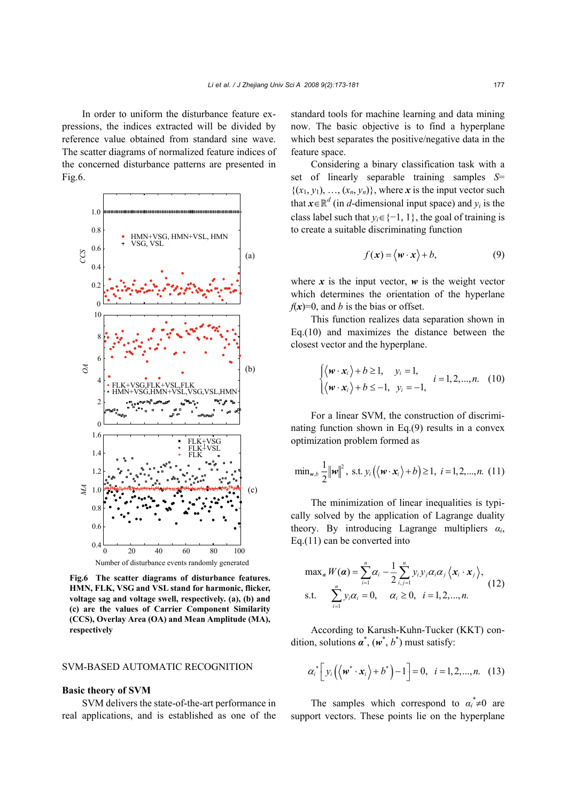In order to uniform the disturbance feature expressions, the indices extracted will be divided by reference value obtained from standard sine wave. The scatter diagrams of normalized feature indices of the concerned disturbance patterns are presented in Fig.6.



**Fig.6 The scatter diagrams of disturbance features. HMN, FLK, VSG and VSL stand for harmonic, flicker, voltage sag and voltage swell, respectively. (a), (b) and (c) are the values of Carrier Component Similarity (CCS), Overlay Area (OA) and Mean Amplitude (MA), respectively** 

# SVM-BASED AUTOMATIC RECOGNITION

### **Basic theory of SVM**

SVM delivers the state-of-the-art performance in real applications, and is established as one of the standard tools for machine learning and data mining now. The basic objective is to find a hyperplane which best separates the positive/negative data in the feature space.

Considering a binary classification task with a set of linearly separable training samples *S*=  $\{(x_1, y_1), \ldots, (x_n, y_n)\}\)$ , where *x* is the input vector such that  $\mathbf{x} \in \mathbb{R}^d$  (in *d*-dimensional input space) and  $y_i$  is the class label such that  $y_i \in \{-1, 1\}$ , the goal of training is to create a suitable discriminating function

$$
f(\mathbf{x}) = \langle \mathbf{w} \cdot \mathbf{x} \rangle + b,\tag{9}
$$

where  $x$  is the input vector,  $w$  is the weight vector which determines the orientation of the hyperlane  $f(x)=0$ , and *b* is the bias or offset.

This function realizes data separation shown in Eq.(10) and maximizes the distance between the closest vector and the hyperplane.

$$
\begin{cases} \langle \mathbf{w} \cdot \mathbf{x}_i \rangle + b \ge 1, & y_i = 1, \\ \langle \mathbf{w} \cdot \mathbf{x}_i \rangle + b \le -1, & y_i = -1, \end{cases} i = 1, 2, ..., n. \quad (10)
$$

For a linear SVM, the construction of discriminating function shown in Eq.(9) results in a convex optimization problem formed as

$$
\min_{\mathbf{w},b} \frac{1}{2} ||\mathbf{w}||^2, \text{ s.t. } y_i (\langle \mathbf{w} \cdot \mathbf{x}_i \rangle + b) \ge 1, \text{ } i = 1,2,...,n. \text{ (11)}
$$

The minimization of linear inequalities is typically solved by the application of Lagrange duality theory. By introducing Lagrange multipliers  $\alpha_i$ , Eq.(11) can be converted into

$$
\max_{\alpha} W(\alpha) = \sum_{i=1}^{n} \alpha_i - \frac{1}{2} \sum_{i,j=1}^{n} y_i y_j \alpha_i \alpha_j \langle x_i \cdot x_j \rangle,
$$
  
s.t. 
$$
\sum_{i=1}^{n} y_i \alpha_i = 0, \quad \alpha_i \ge 0, \quad i = 1, 2, ..., n.
$$
 (12)

According to Karush-Kuhn-Tucker (KKT) condition, solutions  $\boldsymbol{\alpha}^*, (\boldsymbol{w}^*, \boldsymbol{b}^*)$  must satisfy:

$$
\alpha_i^* \left[ y_i \left( \left\langle \boldsymbol{w}^* \cdot \boldsymbol{x}_i \right\rangle + b^* \right) - 1 \right] = 0, \ \ i = 1, 2, ..., n. \tag{13}
$$

The samples which correspond to  $\alpha_i^* \neq 0$  are support vectors. These points lie on the hyperplane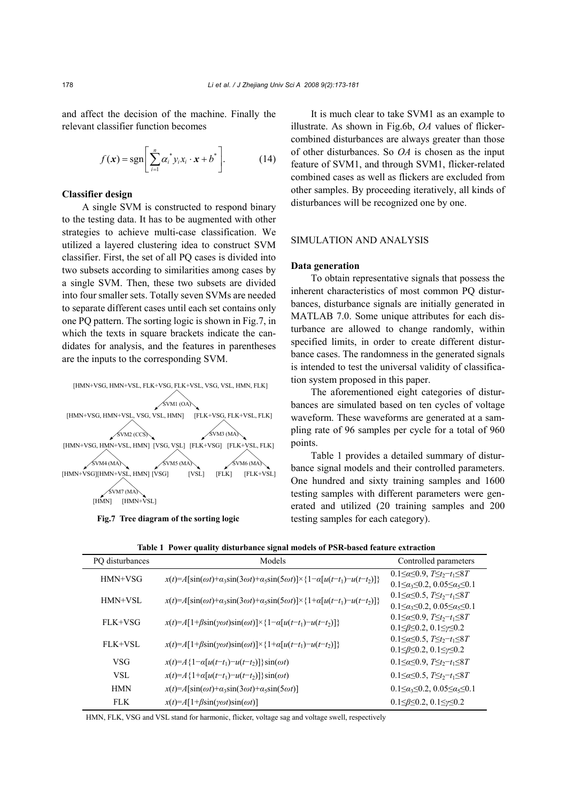and affect the decision of the machine. Finally the relevant classifier function becomes

$$
f(\mathbf{x}) = \text{sgn}\left[\sum_{i=1}^{n} \alpha_i^* y_i x_i \cdot \mathbf{x} + b^*\right].
$$
 (14)

#### **Classifier design**

A single SVM is constructed to respond binary to the testing data. It has to be augmented with other strategies to achieve multi-case classification. We utilized a layered clustering idea to construct SVM classifier. First, the set of all PQ cases is divided into two subsets according to similarities among cases by a single SVM. Then, these two subsets are divided into four smaller sets. Totally seven SVMs are needed to separate different cases until each set contains only one PQ pattern. The sorting logic is shown in Fig.7, in which the texts in square brackets indicate the candidates for analysis, and the features in parentheses are the inputs to the corresponding SVM.



It is much clear to take SVM1 as an example to illustrate. As shown in Fig.6b, *OA* values of flickercombined disturbances are always greater than those of other disturbances. So *OA* is chosen as the input feature of SVM1, and through SVM1, flicker-related combined cases as well as flickers are excluded from other samples. By proceeding iteratively, all kinds of disturbances will be recognized one by one.

#### SIMULATION AND ANALYSIS

# **Data generation**

To obtain representative signals that possess the inherent characteristics of most common PQ disturbances, disturbance signals are initially generated in MATLAB 7.0. Some unique attributes for each disturbance are allowed to change randomly, within specified limits, in order to create different disturbance cases. The randomness in the generated signals is intended to test the universal validity of classification system proposed in this paper.

The aforementioned eight categories of disturbances are simulated based on ten cycles of voltage waveform. These waveforms are generated at a sampling rate of 96 samples per cycle for a total of 960 points.

Table 1 provides a detailed summary of disturbance signal models and their controlled parameters. One hundred and sixty training samples and 1600 testing samples with different parameters were generated and utilized (20 training samples and 200 **Fig.7 Tree diagram of the sorting logic** testing samples for each category).

| PO disturbances | Models                                                                                                        | Controlled parameters                                        |  |  |  |
|-----------------|---------------------------------------------------------------------------------------------------------------|--------------------------------------------------------------|--|--|--|
| $HMN+VSG$       | $x(t)=A[\sin(\omega t)+\alpha_3\sin(3\omega t)+\alpha_5\sin(5\omega t)]\times\{1-\alpha[u(t-t_1)-u(t-t_2)]\}$ | $0.1 \leq \alpha \leq 0.9$ , $T \leq t_2 - t_1 \leq 8T$      |  |  |  |
|                 |                                                                                                               | $0.1 \leq \alpha_3 \leq 0.2$ , $0.05 \leq \alpha_5 \leq 0.1$ |  |  |  |
| HMN+VSL         | $x(t)=A[\sin(\omega t)+\alpha_3\sin(3\omega t)+\alpha_5\sin(5\omega t)]\times\{1+\alpha[u(t-t_1)-u(t-t_2)]\}$ | $0.1 \leq \alpha \leq 0.5$ , $T \leq t_2 - t_1 \leq 8T$      |  |  |  |
|                 |                                                                                                               | $0.1 \leq \alpha_3 \leq 0.2$ , $0.05 \leq \alpha_5 \leq 0.1$ |  |  |  |
| FLK+VSG         | $x(t)=A[1+\beta\sin(\gamma\omega t)\sin(\omega t)]\times\{1-\alpha[u(t-t_1)-u(t-t_2)]\}$                      | $0.1 \leq \alpha \leq 0.9$ , $T \leq t_2 - t_1 \leq 8T$      |  |  |  |
|                 |                                                                                                               | $0.1 \leq \beta \leq 0.2$ , $0.1 \leq \gamma \leq 0.2$       |  |  |  |
| FLK+VSL         | $x(t)=A[1+\beta\sin(\gamma\omega t)\sin(\omega t)]\times\{1+\alpha[u(t-t_1)-u(t-t_2)]\}$                      | $0.1 \leq \alpha \leq 0.5$ , $T \leq t_2 - t_1 \leq 8T$      |  |  |  |
|                 |                                                                                                               | $0.1 \leq \beta \leq 0.2$ , $0.1 \leq \gamma \leq 0.2$       |  |  |  |
| <b>VSG</b>      | $x(t)=A\{1-a[u(t-t_1)-u(t-t_2)]\}\sin(\omega t)$                                                              | $0.1 \leq \alpha \leq 0.9$ , $T \leq t_2 - t_1 \leq 8T$      |  |  |  |
| <b>VSL</b>      | $x(t)=A\{1+a[u(t-t_1)-u(t-t_2)]\}\sin(\omega t)$                                                              | $0.1 \leq \alpha \leq 0.5$ , $T \leq t_2 - t_1 \leq 8T$      |  |  |  |
| <b>HMN</b>      | $x(t)=A[\sin(\omega t)+\alpha_3\sin(3\omega t)+\alpha_5\sin(5\omega t)]$                                      | $0.1 \leq \alpha_3 \leq 0.2$ , $0.05 \leq \alpha_5 \leq 0.1$ |  |  |  |
| <b>FLK</b>      | $x(t)=A[1+\beta\sin(\gamma\omega t)\sin(\omega t)]$                                                           | $0.1 \leq \beta \leq 0.2$ , $0.1 \leq \gamma \leq 0.2$       |  |  |  |

**Table 1 Power quality disturbance signal models of PSR-based feature extraction**

HMN, FLK, VSG and VSL stand for harmonic, flicker, voltage sag and voltage swell, respectively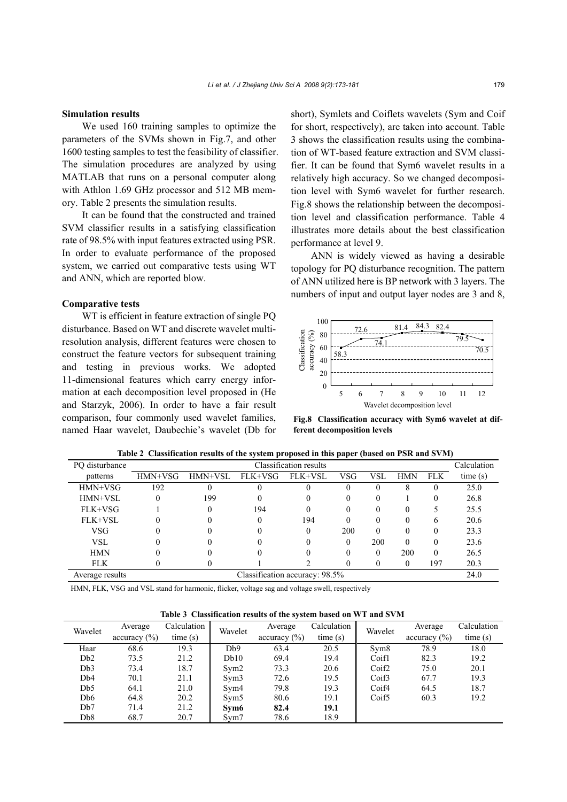# **Simulation results**

We used 160 training samples to optimize the parameters of the SVMs shown in Fig.7, and other 1600 testing samples to test the feasibility of classifier. The simulation procedures are analyzed by using MATLAB that runs on a personal computer along with Athlon 1.69 GHz processor and 512 MB memory. Table 2 presents the simulation results.

It can be found that the constructed and trained SVM classifier results in a satisfying classification rate of 98.5% with input features extracted using PSR. In order to evaluate performance of the proposed system, we carried out comparative tests using WT and ANN, which are reported blow.

#### **Comparative tests**

WT is efficient in feature extraction of single PQ disturbance. Based on WT and discrete wavelet multiresolution analysis, different features were chosen to construct the feature vectors for subsequent training and testing in previous works. We adopted 11-dimensional features which carry energy information at each decomposition level proposed in (He and Starzyk, 2006). In order to have a fair result comparison, four commonly used wavelet families, named Haar wavelet, Daubechie's wavelet (Db for short), Symlets and Coiflets wavelets (Sym and Coif for short, respectively), are taken into account. Table 3 shows the classification results using the combination of WT-based feature extraction and SVM classifier. It can be found that Sym6 wavelet results in a relatively high accuracy. So we changed decomposition level with Sym6 wavelet for further research. Fig.8 shows the relationship between the decomposition level and classification performance. Table 4 illustrates more details about the best classification performance at level 9.

ANN is widely viewed as having a desirable topology for PQ disturbance recognition. The pattern of ANN utilized here is BP network with 3 layers. The numbers of input and output layer nodes are 3 and 8,



**Fig.8 Classification accuracy with Sym6 wavelet at different decomposition levels**

| PO disturbance  | Classification results         |         |         |          |            |            |            |            | Calculation |
|-----------------|--------------------------------|---------|---------|----------|------------|------------|------------|------------|-------------|
| patterns        | HMN+VSG                        | HMN+VSL | FLK+VSG | FLK+VSL  | <b>VSG</b> | <b>VSL</b> | <b>HMN</b> | <b>FLK</b> | time(s)     |
| HMN+VSG         | 192                            |         |         |          |            |            | ົ          |            | 25.0        |
| HMN+VSL         |                                | 199     |         |          | $\theta$   | $\theta$   |            | 0          | 26.8        |
| FLK+VSG         |                                |         | 194     |          | 0          | $\theta$   |            |            | 25.5        |
| FLK+VSL         |                                |         |         | 194      |            |            |            | 6          | 20.6        |
| <b>VSG</b>      |                                |         |         | $\theta$ | 200        | 0          |            |            | 23.3        |
| <b>VSL</b>      |                                |         |         |          | 0          | 200        | $\Omega$   |            | 23.6        |
| <b>HMN</b>      |                                |         |         |          |            | 0          | 200        | 0          | 26.5        |
| <b>FLK</b>      |                                |         |         |          | 0          |            |            | 197        | 20.3        |
| Average results | Classification accuracy: 98.5% |         |         |          |            |            |            | 24.0       |             |

**Table 2 Classification results of the system proposed in this paper (based on PSR and SVM)**

HMN, FLK, VSG and VSL stand for harmonic, flicker, voltage sag and voltage swell, respectively

**Table 3 Classification results of the system based on WT and SVM**

| Average<br>Wavelet |              | Calculation | Wavelet          | Average      | Calculation | Wavelet | Average      | Calculation |
|--------------------|--------------|-------------|------------------|--------------|-------------|---------|--------------|-------------|
|                    | accuracy (%) | time(s)     |                  | accuracy (%) | time(s)     |         | accuracy (%) | time(s)     |
| Haar               | 68.6         | 19.3        | D <sub>b</sub> 9 | 63.4         | 20.5        | Sym8    | 78.9         | 18.0        |
| Db2                | 73.5         | 21.2        | Db10             | 69.4         | 19.4        | Coif1   | 82.3         | 19.2        |
| Db3                | 73.4         | 18.7        | Sym2             | 73.3         | 20.6        | Coif2   | 75.0         | 20.1        |
| D <sub>b</sub> 4   | 70.1         | 21.1        | Sym3             | 72.6         | 19.5        | Coif3   | 67.7         | 19.3        |
| D <sub>b</sub> 5   | 64.1         | 21.0        | Sym4             | 79.8         | 19.3        | Coif4   | 64.5         | 18.7        |
| Db6                | 64.8         | 20.2        | Sym <sub>5</sub> | 80.6         | 19.1        | Coif5   | 60.3         | 19.2        |
| D <sub>b</sub> 7   | 71.4         | 21.2        | Sym <sub>6</sub> | 82.4         | 19.1        |         |              |             |
| D <sub>b</sub> 8   | 68.7         | 20.7        | Sym7             | 78.6         | 18.9        |         |              |             |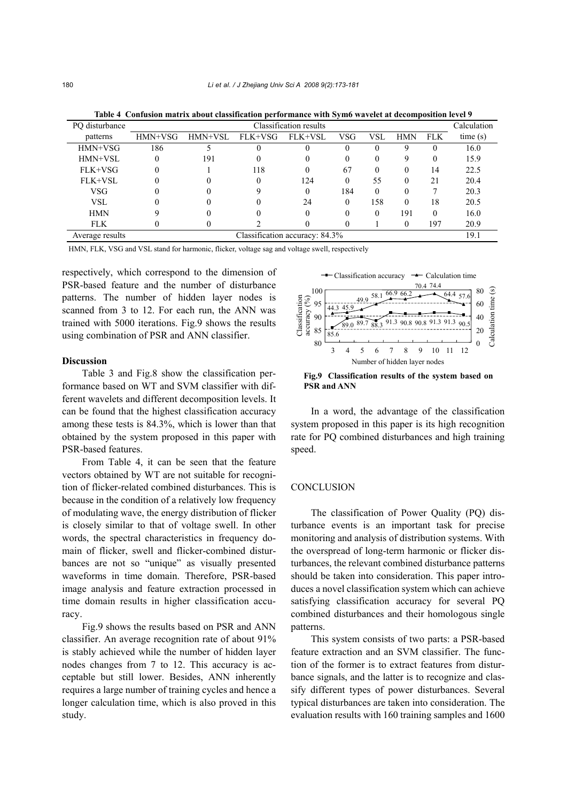| PO disturbance  | <b>Classification results</b>  |         |         |          |     |          |            |            | Calculation |
|-----------------|--------------------------------|---------|---------|----------|-----|----------|------------|------------|-------------|
| patterns        | HMN+VSG                        | HMN+VSL | FLK+VSG | FLK+VSL  | VSG | VSL      | <b>HMN</b> | <b>FLK</b> | time(s)     |
| $HMN+VSG$       | 186                            |         |         | 0        | 0   |          | Q          | 0          | 16.0        |
| HMN+VSL         | $\theta$                       | 191     |         |          | 0   | 0        | Q          | 0          | 15.9        |
| FLK+VSG         | $\theta$                       |         | 118     | $\Omega$ | 67  | $\Omega$ |            | 14         | 22.5        |
| FLK+VSL         |                                |         |         | 124      | 0   | 55       | 0          | 21         | 20.4        |
| VSG             |                                |         |         | $\Omega$ | 184 | $\Omega$ |            |            | 20.3        |
| VSL             |                                |         |         | 24       | 0   | 158      | 0          | 18         | 20.5        |
| <b>HMN</b>      |                                |         |         | $\Omega$ | 0   | $\Omega$ | 191        | $\Omega$   | 16.0        |
| <b>FLK</b>      |                                |         |         |          |     |          |            | 197        | 20.9        |
| Average results | Classification accuracy: 84.3% |         |         |          |     |          |            |            | 19.1        |

**Table 4 Confusion matrix about classification performance with Sym6 wavelet at decomposition level 9**

HMN, FLK, VSG and VSL stand for harmonic, flicker, voltage sag and voltage swell, respectively

respectively, which correspond to the dimension of PSR-based feature and the number of disturbance patterns. The number of hidden layer nodes is scanned from 3 to 12. For each run, the ANN was trained with 5000 iterations. Fig.9 shows the results using combination of PSR and ANN classifier.

#### **Discussion**

Table 3 and Fig.8 show the classification performance based on WT and SVM classifier with different wavelets and different decomposition levels. It can be found that the highest classification accuracy among these tests is 84.3%, which is lower than that obtained by the system proposed in this paper with PSR-based features.

From Table 4, it can be seen that the feature vectors obtained by WT are not suitable for recognition of flicker-related combined disturbances. This is because in the condition of a relatively low frequency of modulating wave, the energy distribution of flicker is closely similar to that of voltage swell. In other words, the spectral characteristics in frequency domain of flicker, swell and flicker-combined disturbances are not so "unique" as visually presented waveforms in time domain. Therefore, PSR-based image analysis and feature extraction processed in time domain results in higher classification accuracy.

Fig.9 shows the results based on PSR and ANN classifier. An average recognition rate of about 91% is stably achieved while the number of hidden layer nodes changes from 7 to 12. This accuracy is acceptable but still lower. Besides, ANN inherently requires a large number of training cycles and hence a longer calculation time, which is also proved in this study.



**Fig.9 Classification results of the system based on PSR and ANN**

In a word, the advantage of the classification system proposed in this paper is its high recognition rate for PQ combined disturbances and high training speed.

# **CONCLUSION**

The classification of Power Quality (PQ) disturbance events is an important task for precise monitoring and analysis of distribution systems. With the overspread of long-term harmonic or flicker disturbances, the relevant combined disturbance patterns should be taken into consideration. This paper introduces a novel classification system which can achieve satisfying classification accuracy for several PQ combined disturbances and their homologous single patterns.

This system consists of two parts: a PSR-based feature extraction and an SVM classifier. The function of the former is to extract features from disturbance signals, and the latter is to recognize and classify different types of power disturbances. Several typical disturbances are taken into consideration. The evaluation results with 160 training samples and 1600